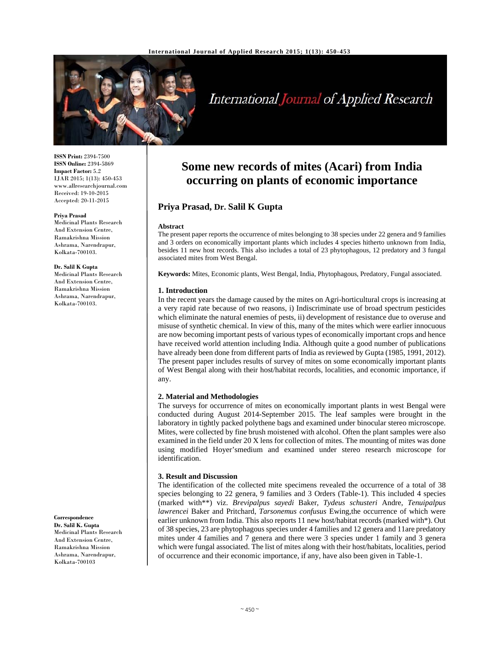

# International Journal of Applied Research

**ISSN Print:** 2394-7500 **ISSN Online:** 2394-5869 **Impact Factor:** 5.2 IJAR 2015; 1(13): 450-453 www.allresearchjournal.com Received: 19-10-2015 Accepted: 20-11-2015

#### **Priya Prasad**

Medicinal Plants Research And Extension Centre, Ramakrishna Mission Ashrama, Narendrapur, Kolkata-700103.

#### **Dr. Salil K Gupta**

Medicinal Plants Research And Extension Centre, Ramakrishna Mission Ashrama, Narendrapur, Kolkata-700103.

**Correspondence Dr. Salil K. Gupta**

Medicinal Plants Research And Extension Centre, Ramakrishna Mission Ashrama, Narendrapur, Kolkata-700103

## **Some new records of mites (Acari) from India occurring on plants of economic importance**

## **Priya Prasad, Dr. Salil K Gupta**

#### **Abstract**

The present paper reports the occurrence of mites belonging to 38 species under 22 genera and 9 families and 3 orders on economically important plants which includes 4 species hitherto unknown from India, besides 11 new host records. This also includes a total of 23 phytophagous, 12 predatory and 3 fungal associated mites from West Bengal.

**Keywords:** Mites, Economic plants, West Bengal, India, Phytophagous, Predatory, Fungal associated.

#### **1. Introduction**

In the recent years the damage caused by the mites on Agri-horticultural crops is increasing at a very rapid rate because of two reasons, i) Indiscriminate use of broad spectrum pesticides which eliminate the natural enemies of pests, ii) development of resistance due to overuse and misuse of synthetic chemical. In view of this, many of the mites which were earlier innocuous are now becoming important pests of various types of economically important crops and hence have received world attention including India. Although quite a good number of publications have already been done from different parts of India as reviewed by Gupta (1985, 1991, 2012). The present paper includes results of survey of mites on some economically important plants of West Bengal along with their host/habitat records, localities, and economic importance, if any.

#### **2. Material and Methodologies**

The surveys for occurrence of mites on economically important plants in west Bengal were conducted during August 2014-September 2015. The leaf samples were brought in the laboratory in tightly packed polythene bags and examined under binocular stereo microscope. Mites, were collected by fine brush moistened with alcohol. Often the plant samples were also examined in the field under 20 X lens for collection of mites. The mounting of mites was done using modified Hoyer'smedium and examined under stereo research microscope for identification.

#### **3. Result and Discussion**

The identification of the collected mite specimens revealed the occurrence of a total of 38 species belonging to 22 genera, 9 families and 3 Orders (Table-1). This included 4 species (marked with\*\*) viz. *Brevipalpus sayedi* Baker, *Tydeus schusteri* Andre, *Tenuipalpus lawrencei* Baker and Pritchard, *Tarsonemus confusus* Ewing,the occurrence of which were earlier unknown from India. This also reports 11 new host/habitat records (marked with\*). Out of 38 species, 23 are phytophagous species under 4 families and 12 genera and 11are predatory mites under 4 families and 7 genera and there were 3 species under 1 family and 3 genera which were fungal associated. The list of mites along with their host/habitats, localities, period of occurrence and their economic importance, if any, have also been given in Table-1.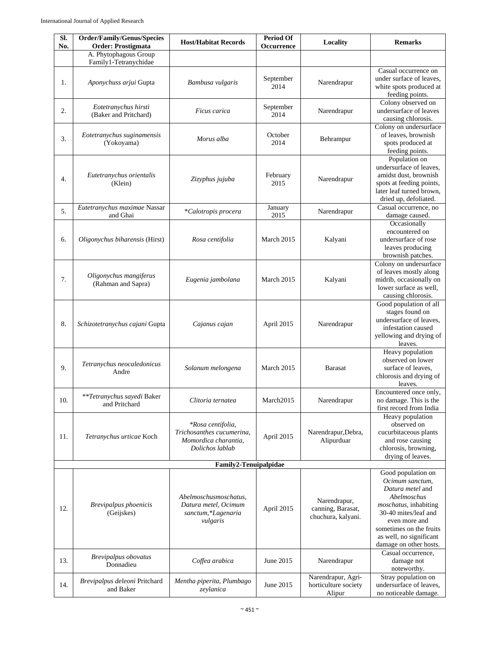| SI.<br>No. | Order/Family/Genus/Species<br><b>Order: Prostigmata</b> | <b>Host/Habitat Records</b>                                                                      | <b>Period Of</b><br>Occurrence | Locality                                                | <b>Remarks</b>                                                                                                                                                                                                             |
|------------|---------------------------------------------------------|--------------------------------------------------------------------------------------------------|--------------------------------|---------------------------------------------------------|----------------------------------------------------------------------------------------------------------------------------------------------------------------------------------------------------------------------------|
|            | A. Phytophagous Group                                   |                                                                                                  |                                |                                                         |                                                                                                                                                                                                                            |
| 1.         | Family1-Tetranychidae<br>Aponychuss arjui Gupta         | Bambusa vulgaris                                                                                 | September<br>2014              | Narendrapur                                             | Casual occurrence on<br>under surface of leaves,<br>white spots produced at<br>feeding points.                                                                                                                             |
| 2.         | Eotetranychus hirsti<br>(Baker and Pritchard)           | Ficus carica                                                                                     | September<br>2014              | Narendrapur                                             | Colony observed on<br>undersurface of leaves<br>causing chlorosis.                                                                                                                                                         |
| 3.         | Eotetranychus suginamensis<br>(Yokoyama)                | Morus alba                                                                                       | October<br>2014                | Behrampur                                               | Colony on undersurface<br>of leaves, brownish<br>spots produced at<br>feeding points.                                                                                                                                      |
| 4.         | Eutetranychus orientalis<br>(Klein)                     | Zizyphus jujuba                                                                                  | February<br>2015               | Narendrapur                                             | Population on<br>undersurface of leaves,<br>amidst dust, brownish<br>spots at feeding points,<br>later leaf turned brown,<br>dried up, defoliated.                                                                         |
| 5.         | Eutetranychus maximae Nassar<br>and Ghai                | *Calotropis procera                                                                              | January<br>2015                | Narendrapur                                             | Casual occurrence, no<br>damage caused.                                                                                                                                                                                    |
| 6.         | Oligonychus biharensis (Hirst)                          | Rosa centifolia                                                                                  | March 2015                     | Kalyani                                                 | Occasionally<br>encountered on<br>undersurface of rose<br>leaves producing<br>brownish patches.                                                                                                                            |
| 7.         | Oligonychus mangiferus<br>(Rahman and Sapra)            | Eugenia jambolana                                                                                | March 2015                     | Kalyani                                                 | Colony on undersurface<br>of leaves mostly along<br>midrib, occasionally on<br>lower surface as well,<br>causing chlorosis.                                                                                                |
| 8.         | Schizotetranychus cajani Gupta                          | Cajanus cajan                                                                                    | April 2015                     | Narendrapur                                             | Good population of all<br>stages found on<br>undersurface of leaves,<br>infestation caused<br>yellowing and drying of<br>leaves.                                                                                           |
| 9.         | Tetranychus neocaledonicus<br>Andre                     | Solanum melongena                                                                                | March 2015                     | <b>Barasat</b>                                          | Heavy population<br>observed on lower<br>surface of leaves,<br>chlorosis and drying of<br>leaves.                                                                                                                          |
| 10.        | **Tetranychus sayedi Baker<br>and Pritchard             | Clitoria ternatea                                                                                | March2015                      | Narendrapur                                             | Encountered once only,<br>no damage. This is the<br>first record from India                                                                                                                                                |
| 11.        | Tetranychus urticae Koch                                | <i>*Rosa centifolia,</i><br>Trichosanthes cucumerina,<br>Momordica charantia,<br>Dolichos lablab | April 2015                     | Narendrapur, Debra,<br>Alipurduar                       | Heavy population<br>observed on<br>cucurbitaceous plants<br>and rose causing<br>chlorosis, browning,<br>drying of leaves.                                                                                                  |
|            |                                                         | Family2-Tenuipalpidae                                                                            |                                |                                                         |                                                                                                                                                                                                                            |
| 12.        | Brevipalpus phoenicis<br>(Geijskes)                     | Abelmoschusmoschatus,<br>Datura metel, Ocimum<br>sanctum, *Lagenaria<br>vulgaris                 | April 2015                     | Narendrapur,<br>canning, Barasat,<br>chuchura, kalyani. | Good population on<br>Ocimum sanctum,<br>Datura metel and<br>Abelmoschus<br>moschatus, inhabiting<br>30-40 mites/leaf and<br>even more and<br>sometimes on the fruits<br>as well, no significant<br>damage on other hosts. |
| 13.        | Brevipalpus obovatus<br>Donnadieu                       | Coffea arabica                                                                                   | June 2015                      | Narendrapur                                             | Casual occurrence,<br>damage not<br>noteworthy.                                                                                                                                                                            |
| 14.        | Brevipalpus deleoni Pritchard<br>and Baker              | Mentha piperita, Plumbago<br>zeylanica                                                           | June 2015                      | Narendrapur, Agri-<br>horticulture society<br>Alipur    | Stray population on<br>undersurface of leaves,<br>no noticeable damage.                                                                                                                                                    |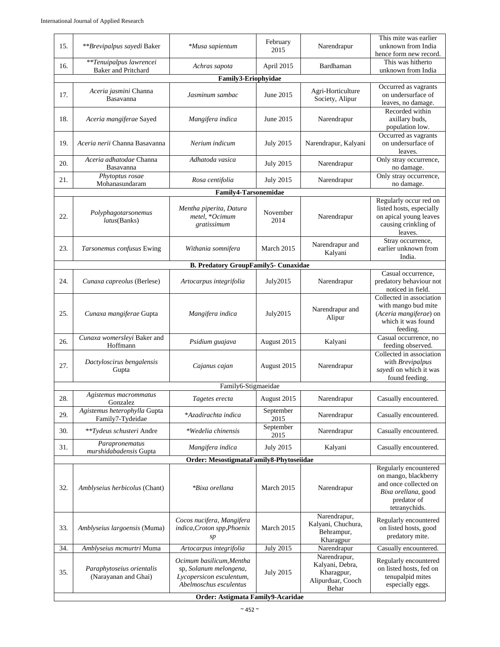|                                                      | Behar<br>Order: Astigmata Family9-Acaridae            |                                                                              |                          |                                        |                                                                                                             |  |  |  |
|------------------------------------------------------|-------------------------------------------------------|------------------------------------------------------------------------------|--------------------------|----------------------------------------|-------------------------------------------------------------------------------------------------------------|--|--|--|
| 35.                                                  | Paraphytoseius orientalis<br>(Narayanan and Ghai)     | sp, Solanum melongena,<br>Lycopersicon esculentum,<br>Abelmoschus esculentus | <b>July 2015</b>         | Kharagpur,<br>Alipurduar, Cooch        | on listed hosts, fed on<br>tenupalpid mites<br>especially eggs.                                             |  |  |  |
|                                                      |                                                       | Ocimum basilicum, Mentha                                                     |                          | Narendrapur,<br>Kalyani, Debra,        | Regularly encountered                                                                                       |  |  |  |
| 34.                                                  | Amblyseius mcmurtri Muma                              | sp<br>Artocarpus integrifolia                                                | <b>July 2015</b>         | Behrampur,<br>Kharagpur<br>Narendrapur | predatory mite.<br>Casually encountered.                                                                    |  |  |  |
| 33.                                                  | Amblyseius largoensis (Muma)                          | Cocos nucifera, Mangifera<br>indica, Croton spp, Phoenix                     | March 2015               | Narendrapur,<br>Kalyani, Chuchura,     | Regularly encountered<br>on listed hosts, good                                                              |  |  |  |
| 32.                                                  | Amblyseius herbicolus (Chant)                         | *Bixa orellana                                                               | March 2015               | Narendrapur                            | and once collected on<br>Bixa orellana, good<br>predator of<br>tetranychids.                                |  |  |  |
|                                                      |                                                       |                                                                              |                          |                                        | Regularly encountered<br>on mango, blackberry                                                               |  |  |  |
|                                                      |                                                       | Order: MesostigmataFamily8-Phytoseiidae                                      |                          |                                        |                                                                                                             |  |  |  |
| 31.                                                  | Parapronematus<br>murshidabadensis Gupta              | Mangifera indica                                                             | 2015<br><b>July 2015</b> | Kalyani                                | Casually encountered.                                                                                       |  |  |  |
| 30.                                                  | Family7-Tydeidae<br>**Tydeus schusteri Andre          | *Wedelia chinensis                                                           | 2015<br>September        | Narendrapur                            | Casually encountered.                                                                                       |  |  |  |
| 29.                                                  | Gonzalez<br>Agistemus heterophylla Gupta              | *Azadirachta indica                                                          | September                | Narendrapur                            | Casually encountered.                                                                                       |  |  |  |
| 28.                                                  | Agistemus macrommatus                                 | Tagetes erecta                                                               | August 2015              | Narendrapur                            | Casually encountered.                                                                                       |  |  |  |
|                                                      |                                                       | Family6-Stigmaeidae                                                          |                          |                                        | found feeding.                                                                                              |  |  |  |
| 27.                                                  | Dactyloscirus bengalensis<br>Gupta                    | Cajanus cajan                                                                | August 2015              | Narendrapur                            | Collected in association<br>with Brevipalpus<br>sayedi on which it was                                      |  |  |  |
| 26.                                                  | Cunaxa womersleyi Baker and<br>Hoffmann               | Psidium guajava                                                              | August 2015              | Kalyani                                | Casual occurrence, no<br>feeding observed.                                                                  |  |  |  |
| 25.                                                  | Cunaxa mangiferae Gupta                               | Mangifera indica                                                             | July2015                 | Narendrapur and<br>Alipur              | Collected in association<br>with mango bud mite<br>(Aceria mangiferae) on<br>which it was found<br>feeding. |  |  |  |
| 24.                                                  | Cunaxa capreolus (Berlese)                            | Artocarpus integrifolia                                                      | July2015                 | Narendrapur                            | Casual occurrence,<br>predatory behaviour not<br>noticed in field.                                          |  |  |  |
|                                                      |                                                       | <b>B. Predatory GroupFamily5- Cunaxidae</b>                                  |                          |                                        | India.                                                                                                      |  |  |  |
| 23.                                                  | Tarsonemus confusus Ewing                             | Withania somnifera                                                           | March 2015               | Narendrapur and<br>Kalyani             | leaves.<br>Stray occurrence,<br>earlier unknown from                                                        |  |  |  |
| 22.                                                  | Polyphagotarsonemus<br><i>latus</i> (Banks)           | Mentha piperita, Datura<br>metel, *Ocimum<br>gratissimum                     | November<br>2014         | Narendrapur                            | Regularly occur red on<br>listed hosts, especially<br>on apical young leaves<br>causing crinkling of        |  |  |  |
| Mohanasundaram<br>no damage.<br>Family4-Tarsonemidae |                                                       |                                                                              |                          |                                        |                                                                                                             |  |  |  |
| 21.                                                  | Phytoptus rosae                                       | Rosa centifolia                                                              | <b>July 2015</b>         | Narendrapur                            | Only stray occurrence,                                                                                      |  |  |  |
| 20.                                                  | Aceria adhatodae Channa<br>Basavanna                  | Adhatoda vasica                                                              | <b>July 2015</b>         | Narendrapur                            | leaves.<br>Only stray occurrence,<br>no damage.                                                             |  |  |  |
| 19.                                                  | Aceria nerii Channa Basavanna                         | Nerium indicum                                                               | <b>July 2015</b>         | Narendrapur, Kalyani                   | Occurred as vagrants<br>on undersurface of                                                                  |  |  |  |
| 18.                                                  | Aceria mangiferae Sayed                               | Mangifera indica                                                             | June 2015                | Narendrapur                            | Recorded within<br>axillary buds,<br>population low.                                                        |  |  |  |
| 17.                                                  | Aceria jasmini Channa<br>Basavanna                    | Jasminum sambac                                                              | June 2015                | Agri-Horticulture<br>Society, Alipur   | Occurred as vagrants<br>on undersurface of<br>leaves, no damage.                                            |  |  |  |
|                                                      |                                                       |                                                                              |                          |                                        |                                                                                                             |  |  |  |
| 16.                                                  | **Tenuipalpus lawrencei<br><b>Baker</b> and Pritchard | Achras sapota                                                                | April 2015               | Bardhaman                              | This was hitherto<br>unknown from India                                                                     |  |  |  |
| 15.                                                  | **Brevipalpus sayedi Baker                            | *Musa sapientum                                                              | February<br>2015         | Narendrapur                            | This mite was earlier<br>unknown from India<br>hence form new record.                                       |  |  |  |
|                                                      |                                                       |                                                                              |                          |                                        |                                                                                                             |  |  |  |